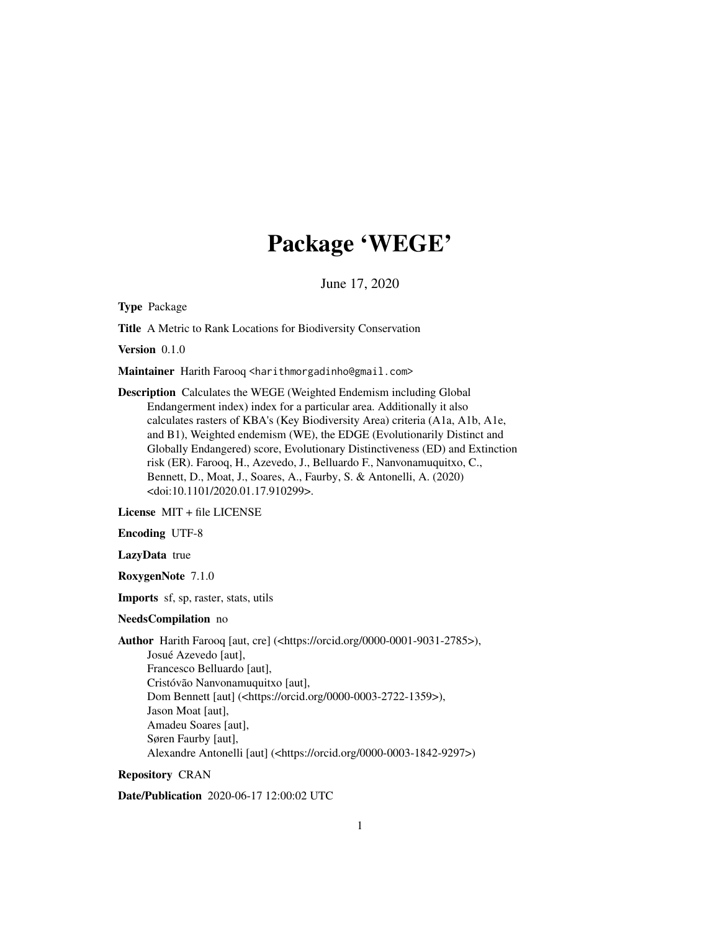# Package 'WEGE'

June 17, 2020

Type Package

Title A Metric to Rank Locations for Biodiversity Conservation

Version 0.1.0

Maintainer Harith Farooq <harithmorgadinho@gmail.com>

Description Calculates the WEGE (Weighted Endemism including Global Endangerment index) index for a particular area. Additionally it also calculates rasters of KBA's (Key Biodiversity Area) criteria (A1a, A1b, A1e, and B1), Weighted endemism (WE), the EDGE (Evolutionarily Distinct and Globally Endangered) score, Evolutionary Distinctiveness (ED) and Extinction risk (ER). Farooq, H., Azevedo, J., Belluardo F., Nanvonamuquitxo, C., Bennett, D., Moat, J., Soares, A., Faurby, S. & Antonelli, A. (2020) <doi:10.1101/2020.01.17.910299>.

License MIT + file LICENSE

Encoding UTF-8

LazyData true

RoxygenNote 7.1.0

Imports sf, sp, raster, stats, utils

#### NeedsCompilation no

Author Harith Farooq [aut, cre] (<https://orcid.org/0000-0001-9031-2785>), Josué Azevedo [aut], Francesco Belluardo [aut], Cristóvão Nanvonamuquitxo [aut], Dom Bennett [aut] (<https://orcid.org/0000-0003-2722-1359>), Jason Moat [aut], Amadeu Soares [aut], Søren Faurby [aut], Alexandre Antonelli [aut] (<https://orcid.org/0000-0003-1842-9297>)

#### Repository CRAN

Date/Publication 2020-06-17 12:00:02 UTC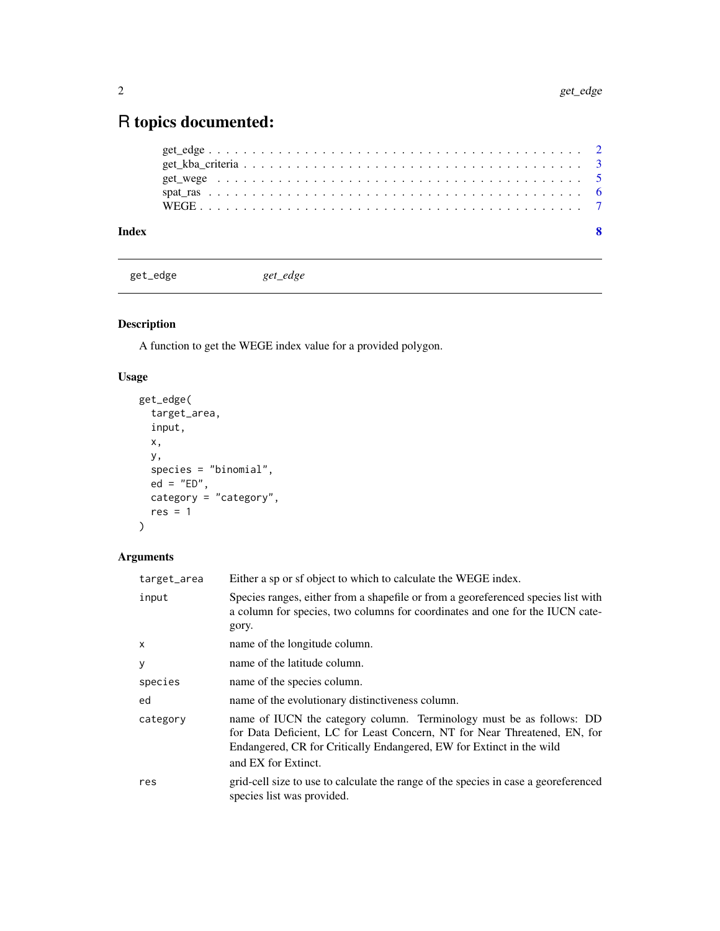## <span id="page-1-0"></span>R topics documented:

| Index |  |  |  |  |  |  |  |  |  |  |  |  |  |  |  |  |  |  |
|-------|--|--|--|--|--|--|--|--|--|--|--|--|--|--|--|--|--|--|
|       |  |  |  |  |  |  |  |  |  |  |  |  |  |  |  |  |  |  |
|       |  |  |  |  |  |  |  |  |  |  |  |  |  |  |  |  |  |  |
|       |  |  |  |  |  |  |  |  |  |  |  |  |  |  |  |  |  |  |
|       |  |  |  |  |  |  |  |  |  |  |  |  |  |  |  |  |  |  |
|       |  |  |  |  |  |  |  |  |  |  |  |  |  |  |  |  |  |  |

get\_edge *get\_edge*

#### Description

A function to get the WEGE index value for a provided polygon.

#### Usage

```
get_edge(
 target_area,
 input,
 x,
 y,
 species = "binomial",
 ed = "ED",category = "category",
 res = 1)
```
### Arguments

| target_area | Either a sp or sf object to which to calculate the WEGE index.                                                                                                                                                                                   |
|-------------|--------------------------------------------------------------------------------------------------------------------------------------------------------------------------------------------------------------------------------------------------|
| input       | Species ranges, either from a shapefile or from a georeferenced species list with<br>a column for species, two columns for coordinates and one for the IUCN cate-<br>gory.                                                                       |
| x           | name of the longitude column.                                                                                                                                                                                                                    |
|             |                                                                                                                                                                                                                                                  |
| у           | name of the latitude column.                                                                                                                                                                                                                     |
| species     | name of the species column.                                                                                                                                                                                                                      |
| ed          | name of the evolutionary distinctiveness column.                                                                                                                                                                                                 |
| category    | name of IUCN the category column. Terminology must be as follows: DD<br>for Data Deficient, LC for Least Concern, NT for Near Threatened, EN, for<br>Endangered, CR for Critically Endangered, EW for Extinct in the wild<br>and EX for Extinct. |
| res         | grid-cell size to use to calculate the range of the species in case a georeferenced<br>species list was provided.                                                                                                                                |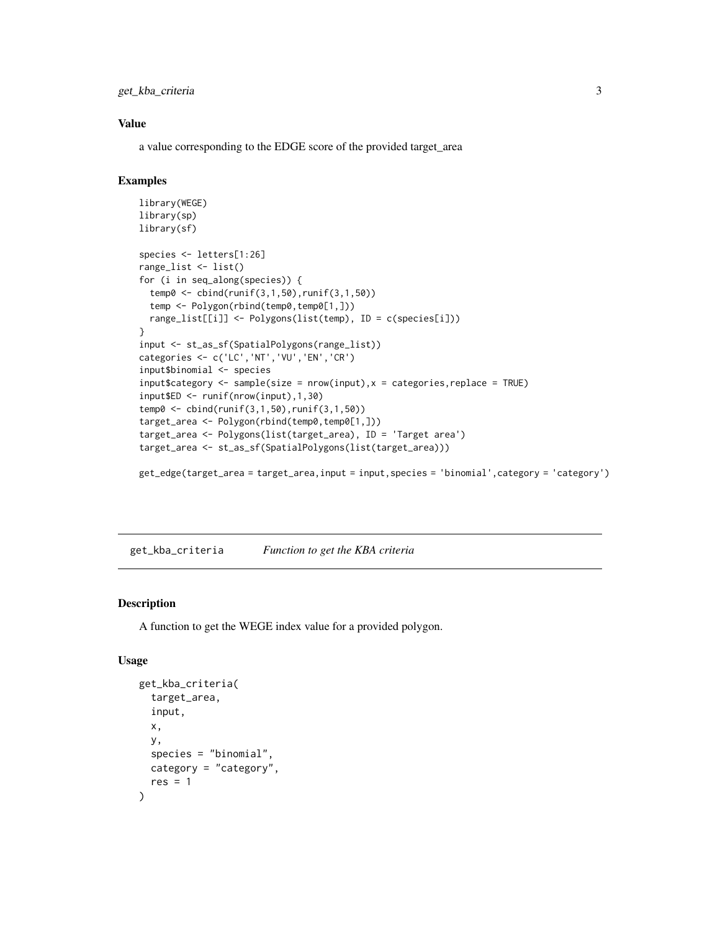<span id="page-2-0"></span>get\_kba\_criteria 3

#### Value

a value corresponding to the EDGE score of the provided target\_area

#### Examples

```
library(WEGE)
library(sp)
library(sf)
species <- letters[1:26]
range_list <- list()
for (i in seq_along(species)) {
  temp0 <- cbind(runif(3,1,50),runif(3,1,50))
  temp <- Polygon(rbind(temp0,temp0[1,]))
  range_list[[i]] <- Polygons(list(temp), ID = c(species[i]))
}
input <- st_as_sf(SpatialPolygons(range_list))
categories <- c('LC','NT','VU','EN','CR')
input$binomial <- species
input$category <- sample(size = nrow(input),x = categories, replace = TRUE)
input$ED <- runif(nrow(input),1,30)
temp0 <- cbind(runif(3,1,50),runif(3,1,50))
target_area <- Polygon(rbind(temp0,temp0[1,]))
target_area <- Polygons(list(target_area), ID = 'Target area')
target_area <- st_as_sf(SpatialPolygons(list(target_area)))
```
get\_edge(target\_area = target\_area,input = input,species = 'binomial',category = 'category')

get\_kba\_criteria *Function to get the KBA criteria*

#### Description

A function to get the WEGE index value for a provided polygon.

#### Usage

```
get_kba_criteria(
  target_area,
  input,
 x,
 y,
  species = "binomial",
 category = "category",
  res = 1)
```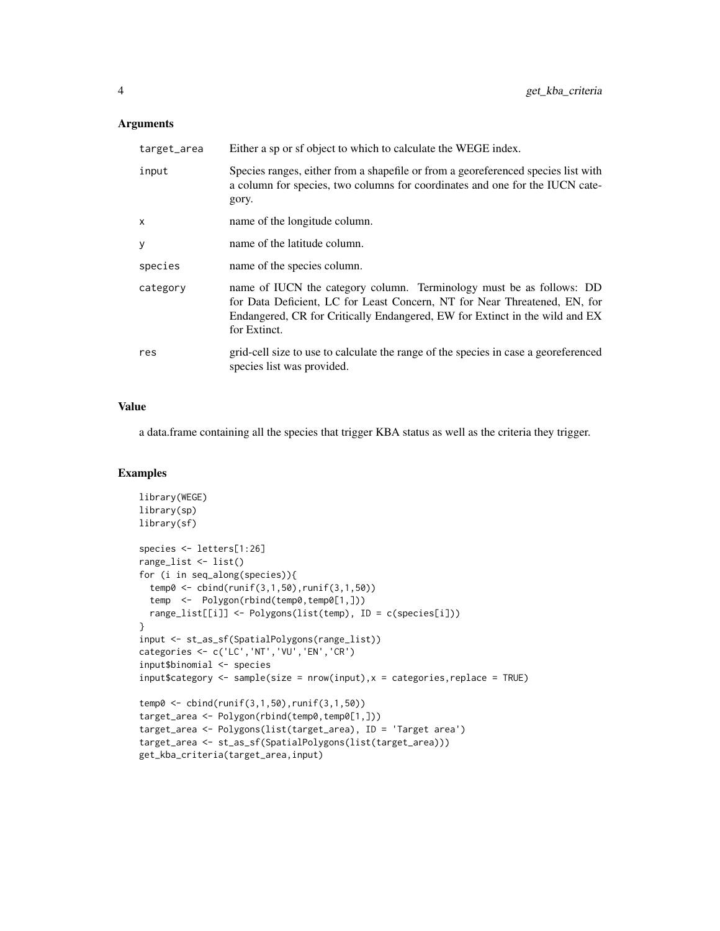#### Arguments

| target_area  | Either a sp or sf object to which to calculate the WEGE index.                                                                                                                                                                                   |
|--------------|--------------------------------------------------------------------------------------------------------------------------------------------------------------------------------------------------------------------------------------------------|
| input        | Species ranges, either from a shapefile or from a georeferenced species list with<br>a column for species, two columns for coordinates and one for the IUCN cate-<br>gory.                                                                       |
| $\mathsf{x}$ | name of the longitude column.                                                                                                                                                                                                                    |
| V            | name of the latitude column.                                                                                                                                                                                                                     |
| species      | name of the species column.                                                                                                                                                                                                                      |
| category     | name of IUCN the category column. Terminology must be as follows: DD<br>for Data Deficient, LC for Least Concern, NT for Near Threatened, EN, for<br>Endangered, CR for Critically Endangered, EW for Extinct in the wild and EX<br>for Extinct. |
| res          | grid-cell size to use to calculate the range of the species in case a georeferenced<br>species list was provided.                                                                                                                                |

#### Value

a data.frame containing all the species that trigger KBA status as well as the criteria they trigger.

#### Examples

```
library(WEGE)
library(sp)
library(sf)
species <- letters[1:26]
range_list <- list()
for (i in seq_along(species)){
  temp0 <- cbind(runif(3,1,50),runif(3,1,50))
  temp <- Polygon(rbind(temp0,temp0[1,]))
  range_list[[i]] <- Polygons(list(temp), ID = c(species[i]))
}
input <- st_as_sf(SpatialPolygons(range_list))
categories <- c('LC','NT','VU','EN','CR')
input$binomial <- species
input$category <- sample(size = nrow(input),x = categories, replace = TRUE)
temp0 <- cbind(runif(3,1,50),runif(3,1,50))
target_area <- Polygon(rbind(temp0,temp0[1,]))
target_area <- Polygons(list(target_area), ID = 'Target area')
target_area <- st_as_sf(SpatialPolygons(list(target_area)))
get_kba_criteria(target_area,input)
```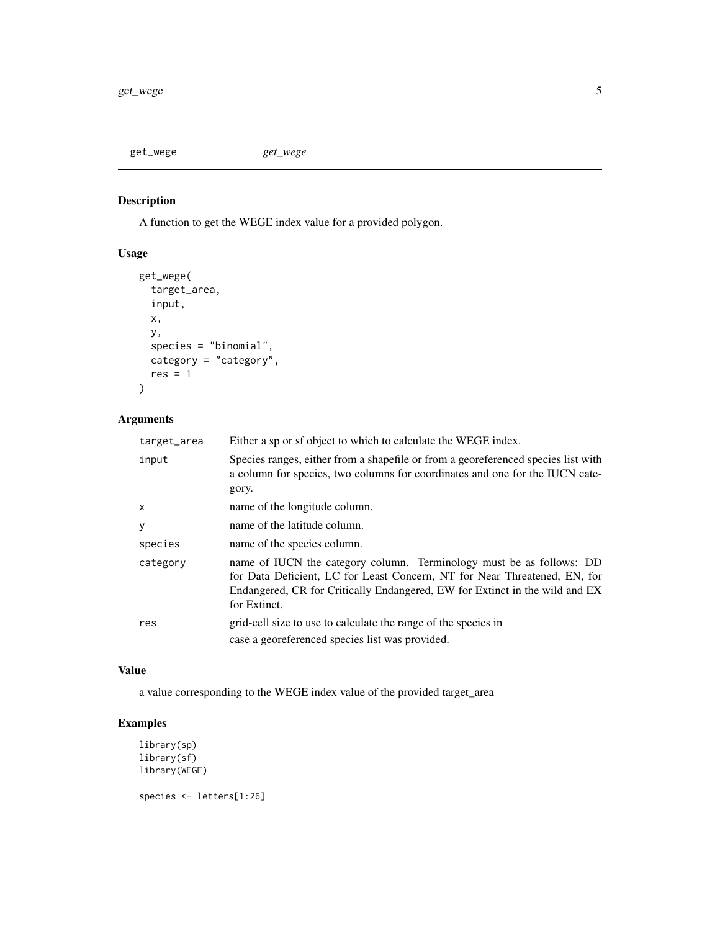<span id="page-4-0"></span>get\_wege *get\_wege*

#### Description

A function to get the WEGE index value for a provided polygon.

### Usage

```
get_wege(
  target_area,
  input,
  x,
  y,
  species = "binomial",
  category = "category",
  res = 1\mathcal{L}
```
#### Arguments

| target_area | Either a sp or sf object to which to calculate the WEGE index.                                                                                                                                                                                   |
|-------------|--------------------------------------------------------------------------------------------------------------------------------------------------------------------------------------------------------------------------------------------------|
| input       | Species ranges, either from a shapefile or from a georeferenced species list with<br>a column for species, two columns for coordinates and one for the IUCN cate-<br>gory.                                                                       |
| x           | name of the longitude column.                                                                                                                                                                                                                    |
| у           | name of the latitude column.                                                                                                                                                                                                                     |
| species     | name of the species column.                                                                                                                                                                                                                      |
| category    | name of IUCN the category column. Terminology must be as follows: DD<br>for Data Deficient, LC for Least Concern, NT for Near Threatened, EN, for<br>Endangered, CR for Critically Endangered, EW for Extinct in the wild and EX<br>for Extinct. |
| res         | grid-cell size to use to calculate the range of the species in<br>case a georeferenced species list was provided.                                                                                                                                |

#### Value

a value corresponding to the WEGE index value of the provided target\_area

#### Examples

```
library(sp)
library(sf)
library(WEGE)
```
species <- letters[1:26]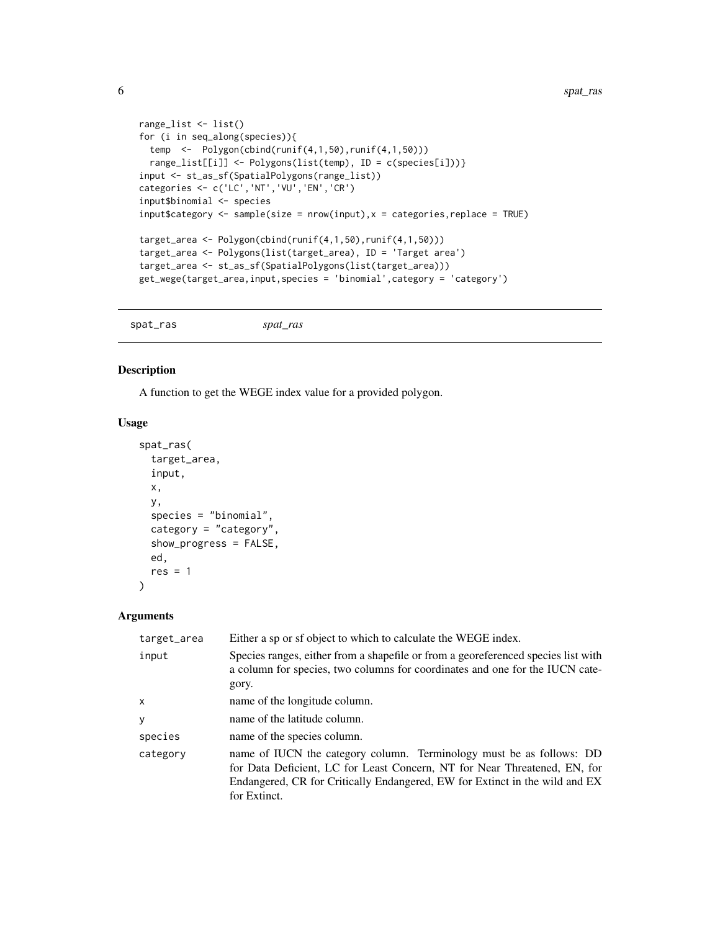```
range_list <- list()
for (i in seq_along(species)){
 temp <- Polygon(cbind(runif(4,1,50),runif(4,1,50)))
  range_list[[i]] <- Polygons(list(temp), ID = c(species[i]))}
input <- st_as_sf(SpatialPolygons(range_list))
categories <- c('LC','NT','VU','EN','CR')
input$binomial <- species
input$category <- sample(size = nrow(input),x = categories, replace = TRUE)
target_area <- Polygon(cbind(runif(4,1,50),runif(4,1,50)))
target_area <- Polygons(list(target_area), ID = 'Target area')
target_area <- st_as_sf(SpatialPolygons(list(target_area)))
get_wege(target_area,input,species = 'binomial',category = 'category')
```
spat\_ras *spat\_ras*

#### Description

A function to get the WEGE index value for a provided polygon.

#### Usage

```
spat_ras(
  target_area,
  input,
 x,
 y,
  species = "binomial",
 category = "category",
 show_progress = FALSE,
 ed,
  res = 1)
```
#### Arguments

| target_area  | Either a sp or sf object to which to calculate the WEGE index.                                                                                                                                                                                   |
|--------------|--------------------------------------------------------------------------------------------------------------------------------------------------------------------------------------------------------------------------------------------------|
| input        | Species ranges, either from a shapefile or from a georeferenced species list with<br>a column for species, two columns for coordinates and one for the IUCN cate-<br>gory.                                                                       |
| $\mathsf{x}$ | name of the longitude column.                                                                                                                                                                                                                    |
| y            | name of the latitude column.                                                                                                                                                                                                                     |
| species      | name of the species column.                                                                                                                                                                                                                      |
| category     | name of IUCN the category column. Terminology must be as follows: DD<br>for Data Deficient, LC for Least Concern, NT for Near Threatened, EN, for<br>Endangered, CR for Critically Endangered, EW for Extinct in the wild and EX<br>for Extinct. |

<span id="page-5-0"></span>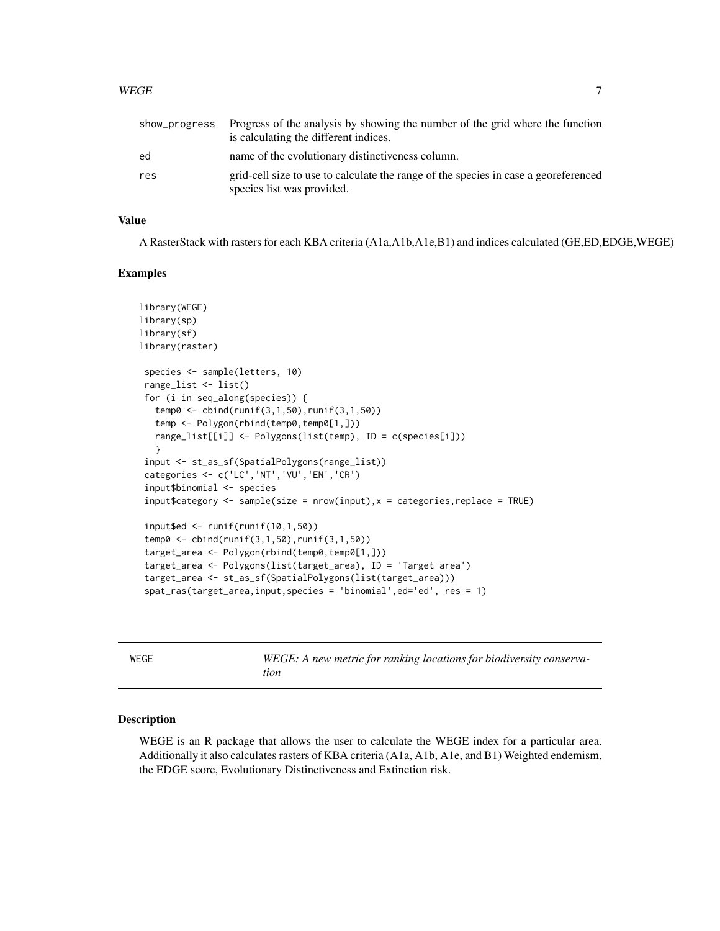#### <span id="page-6-0"></span>WEGE 7

| show_progress | Progress of the analysis by showing the number of the grid where the function<br>is calculating the different indices. |
|---------------|------------------------------------------------------------------------------------------------------------------------|
| ed            | name of the evolutionary distinctiveness column.                                                                       |
| res           | grid-cell size to use to calculate the range of the species in case a georeferenced<br>species list was provided.      |

#### Value

A RasterStack with rasters for each KBA criteria (A1a,A1b,A1e,B1) and indices calculated (GE,ED,EDGE,WEGE)

#### Examples

```
library(WEGE)
library(sp)
library(sf)
library(raster)
 species <- sample(letters, 10)
 range_list <- list()
 for (i in seq_along(species)) {
   temp0 <- cbind(runif(3,1,50),runif(3,1,50))
   temp <- Polygon(rbind(temp0,temp0[1,]))
   range_list[[i]] <- Polygons(list(temp), ID = c(species[i]))
   }
 input <- st_as_sf(SpatialPolygons(range_list))
 categories <- c('LC','NT','VU','EN','CR')
 input$binomial <- species
 input$category <- sample(size = nrow(input),x = categories, replace = TRUE)
 input$ed \le runif(runif(10,1,50))
 temp0 <- cbind(runif(3,1,50),runif(3,1,50))
 target_area <- Polygon(rbind(temp0,temp0[1,]))
 target_area <- Polygons(list(target_area), ID = 'Target area')
 target_area <- st_as_sf(SpatialPolygons(list(target_area)))
 spat_ras(target_area,input,species = 'binomial',ed='ed', res = 1)
```
WEGE *WEGE: A new metric for ranking locations for biodiversity conservation*

#### Description

WEGE is an R package that allows the user to calculate the WEGE index for a particular area. Additionally it also calculates rasters of KBA criteria (A1a, A1b, A1e, and B1) Weighted endemism, the EDGE score, Evolutionary Distinctiveness and Extinction risk.